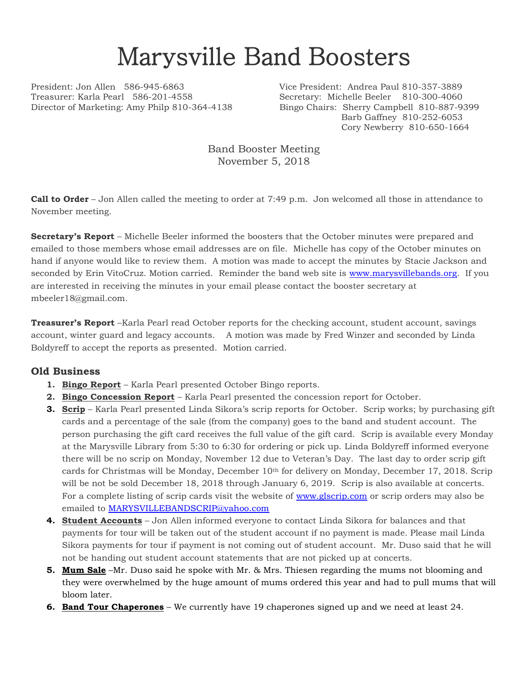## Marysville Band Boosters

President: Jon Allen 586-945-6863 Vice President: Andrea Paul 810-357-3889 Treasurer: Karla Pearl 586-201-4558 Secretary: Michelle Beeler 810-300-4060 Director of Marketing: Amy Philp 810-364-4138 Bingo Chairs: Sherry Campbell 810-887-9399

Barb Gaffney 810-252-6053 Cory Newberry 810-650-1664

Band Booster Meeting November 5, 2018

**Call to Order** – Jon Allen called the meeting to order at 7:49 p.m. Jon welcomed all those in attendance to November meeting.

**Secretary's Report** – Michelle Beeler informed the boosters that the October minutes were prepared and emailed to those members whose email addresses are on file. Michelle has copy of the October minutes on hand if anyone would like to review them. A motion was made to accept the minutes by Stacie Jackson and seconded by Erin VitoCruz. Motion carried. Reminder the band web site is [www.marysvillebands.org.](http://www.marysvillebands.org/) If you are interested in receiving the minutes in your email please contact the booster secretary at mbeeler18@gmail.com.

**Treasurer's Report** –Karla Pearl read October reports for the checking account, student account, savings account, winter guard and legacy accounts. A motion was made by Fred Winzer and seconded by Linda Boldyreff to accept the reports as presented. Motion carried.

## **Old Business**

- **1. Bingo Report** Karla Pearl presented October Bingo reports.
- **2. Bingo Concession Report** Karla Pearl presented the concession report for October.
- **3. Scrip** Karla Pearl presented Linda Sikora's scrip reports for October. Scrip works; by purchasing gift cards and a percentage of the sale (from the company) goes to the band and student account. The person purchasing the gift card receives the full value of the gift card. Scrip is available every Monday at the Marysville Library from 5:30 to 6:30 for ordering or pick up. Linda Boldyreff informed everyone there will be no scrip on Monday, November 12 due to Veteran's Day. The last day to order scrip gift cards for Christmas will be Monday, December 10th for delivery on Monday, December 17, 2018. Scrip will be not be sold December 18, 2018 through January 6, 2019. Scrip is also available at concerts. For a complete listing of scrip cards visit the website of [www.glscrip.com](http://www.glscrip.com/) or scrip orders may also be emailed to [MARYSVILLEBANDSCRIP@yahoo.com](mailto:MARYSVILLEBANDSCRIP@yahoo.com)
- **4. Student Accounts** Jon Allen informed everyone to contact Linda Sikora for balances and that payments for tour will be taken out of the student account if no payment is made. Please mail Linda Sikora payments for tour if payment is not coming out of student account. Mr. Duso said that he will not be handing out student account statements that are not picked up at concerts.
- **5. Mum Sale** –Mr. Duso said he spoke with Mr. & Mrs. Thiesen regarding the mums not blooming and they were overwhelmed by the huge amount of mums ordered this year and had to pull mums that will bloom later.
- **6. Band Tour Chaperones** We currently have 19 chaperones signed up and we need at least 24.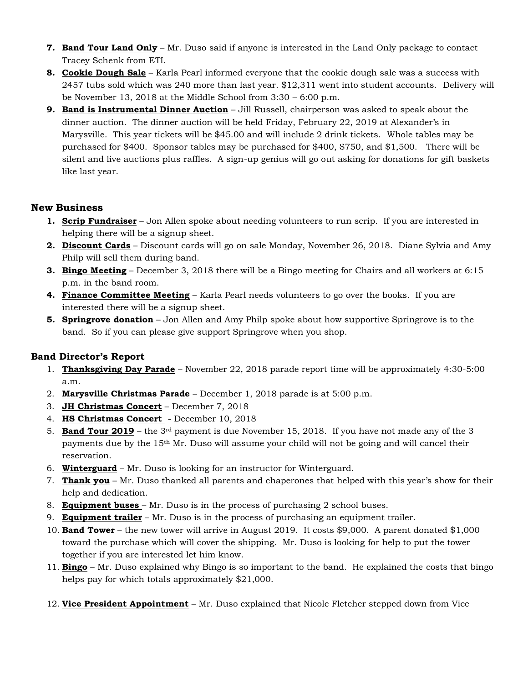- **7. Band Tour Land Only** Mr. Duso said if anyone is interested in the Land Only package to contact Tracey Schenk from ETI.
- **8. Cookie Dough Sale** Karla Pearl informed everyone that the cookie dough sale was a success with 2457 tubs sold which was 240 more than last year. \$12,311 went into student accounts. Delivery will be November 13, 2018 at the Middle School from 3:30 – 6:00 p.m.
- **9. Band is Instrumental Dinner Auction** Jill Russell, chairperson was asked to speak about the dinner auction. The dinner auction will be held Friday, February 22, 2019 at Alexander's in Marysville. This year tickets will be \$45.00 and will include 2 drink tickets. Whole tables may be purchased for \$400. Sponsor tables may be purchased for \$400, \$750, and \$1,500. There will be silent and live auctions plus raffles. A sign-up genius will go out asking for donations for gift baskets like last year.

## **New Business**

- **1. Scrip Fundraiser** Jon Allen spoke about needing volunteers to run scrip. If you are interested in helping there will be a signup sheet.
- **2. Discount Cards** Discount cards will go on sale Monday, November 26, 2018. Diane Sylvia and Amy Philp will sell them during band.
- **3. Bingo Meeting** December 3, 2018 there will be a Bingo meeting for Chairs and all workers at 6:15 p.m. in the band room.
- **4. Finance Committee Meeting** Karla Pearl needs volunteers to go over the books. If you are interested there will be a signup sheet.
- **5. Springrove donation** Jon Allen and Amy Philp spoke about how supportive Springrove is to the band. So if you can please give support Springrove when you shop.

## **Band Director's Report**

- 1. **Thanksgiving Day Parade** November 22, 2018 parade report time will be approximately 4:30-5:00 a.m.
- 2. **Marysville Christmas Parade** December 1, 2018 parade is at 5:00 p.m.
- 3. **JH Christmas Concert** December 7, 2018
- 4. **HS Christmas Concert**  December 10, 2018
- 5. **Band Tour 2019** the 3<sup>rd</sup> payment is due November 15, 2018. If you have not made any of the 3 payments due by the 15th Mr. Duso will assume your child will not be going and will cancel their reservation.
- 6. **Winterguard** Mr. Duso is looking for an instructor for Winterguard.
- 7. **Thank you** Mr. Duso thanked all parents and chaperones that helped with this year's show for their help and dedication.
- 8. **Equipment buses**  Mr. Duso is in the process of purchasing 2 school buses.
- 9. **Equipment trailer** Mr. Duso is in the process of purchasing an equipment trailer.
- 10. **Band Tower** the new tower will arrive in August 2019. It costs \$9,000. A parent donated \$1,000 toward the purchase which will cover the shipping. Mr. Duso is looking for help to put the tower together if you are interested let him know.
- 11. **Bingo** Mr. Duso explained why Bingo is so important to the band. He explained the costs that bingo helps pay for which totals approximately \$21,000.
- 12. **Vice President Appointment** Mr. Duso explained that Nicole Fletcher stepped down from Vice